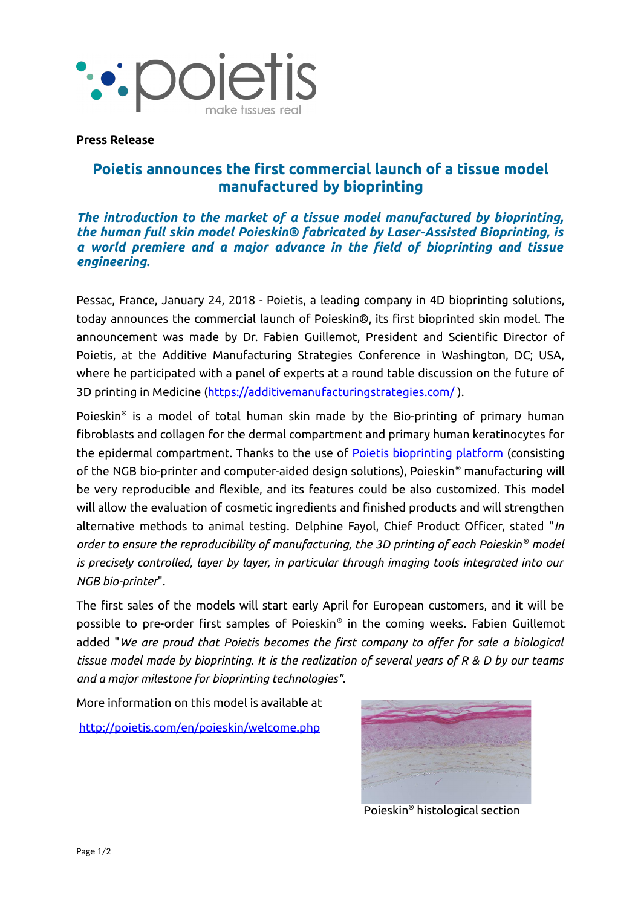

## **Press Release**

## **Poietis announces the first commercial launch of a tissue model manufactured by bioprinting**

*The introduction to the market of a tissue model manufactured by bioprinting, the human full skin model Poieskin® fabricated by Laser-Assisted Bioprinting, is a world premiere and a major advance in the field of bioprinting and tissue engineering.*

Pessac, France, January 24, 2018 - Poietis, a leading company in 4D bioprinting solutions, today announces the commercial launch of Poieskin®, its first bioprinted skin model. The announcement was made by Dr. Fabien Guillemot, President and Scientific Director of Poietis, at the Additive Manufacturing Strategies Conference in Washington, DC; USA, where he participated with a panel of experts at a round table discussion on the future of 3D printing in Medicine (https://additivemanufacturingstrategies.com/).

Poieskin® is a model of total human skin made by the Bio-printing of primary human fibroblasts and collagen for the dermal compartment and primary human keratinocytes for the epidermal compartment. Thanks to the use of [Poietis bioprinting platform](http://poietis.com/en/post-release.php?id=7&view=0) (consisting of the NGB bio-printer and computer-aided design solutions), Poieskin® manufacturing will be very reproducible and flexible, and its features could be also customized. This model will allow the evaluation of cosmetic ingredients and finished products and will strengthen alternative methods to animal testing. Delphine Fayol, Chief Product Officer, stated "*In order to ensure the reproducibility of manufacturing, the 3D printing of each Poieskin ® model is precisely controlled, layer by layer, in particular through imaging tools integrated into our NGB bio-printer*".

The first sales of the models will start early April for European customers, and it will be possible to pre-order first samples of Poieskin® in the coming weeks. Fabien Guillemot added "*We are proud that Poietis becomes the first company to offer for sale a biological tissue model made by bioprinting. It is the realization of several years of R & D by our teams and a major milestone for bioprinting technologies".*

More information on this model is available at

<http://poietis.com/en/poieskin/welcome.php>



Poieskin® histological section